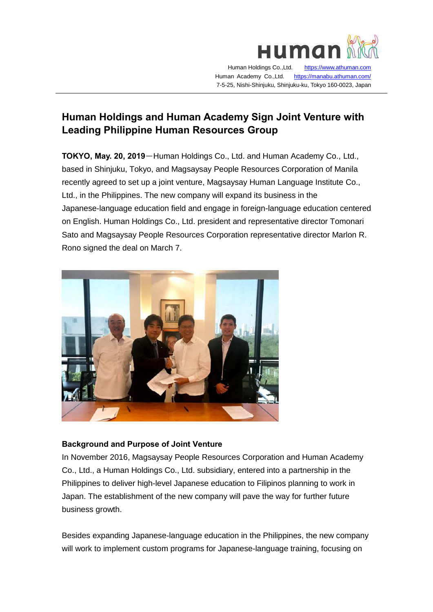

 Human Holdings Co.,Ltd. [https://www.athuman.com](https://www.athuman.com/)  Human Academy Co.,Ltd. <https://manabu.athuman.com/> 7-5-25, Nishi-Shinjuku, Shinjuku-ku, Tokyo 160-0023, Japan

# **Human Holdings and Human Academy Sign Joint Venture with Leading Philippine Human Resources Group**

**TOKYO, May. 20, 2019**-Human Holdings Co., Ltd. and Human Academy Co., Ltd., based in Shinjuku, Tokyo, and Magsaysay People Resources Corporation of Manila recently agreed to set up a joint venture, Magsaysay Human Language Institute Co., Ltd., in the Philippines. The new company will expand its business in the Japanese-language education field and engage in foreign-language education centered on English. Human Holdings Co., Ltd. president and representative director Tomonari Sato and Magsaysay People Resources Corporation representative director Marlon R. Rono signed the deal on March 7.



# **Background and Purpose of Joint Venture**

In November 2016, Magsaysay People Resources Corporation and Human Academy Co., Ltd., a Human Holdings Co., Ltd. subsidiary, entered into a partnership in the Philippines to deliver high-level Japanese education to Filipinos planning to work in Japan. The establishment of the new company will pave the way for further future business growth.

Besides expanding Japanese-language education in the Philippines, the new company will work to implement custom programs for Japanese-language training, focusing on